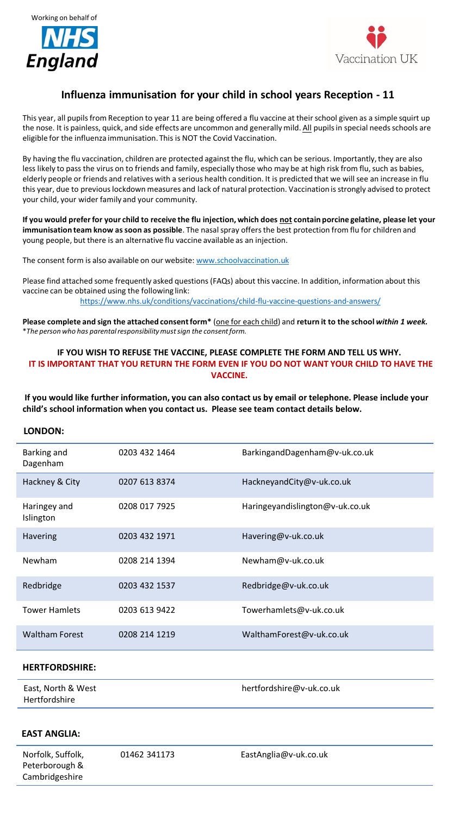



# **Influenza immunisation for your child in school years Reception - 11**

This year, all pupils from Reception to year 11 are being offered a flu vaccine at their school given as a simple squirt up the nose. It is painless, quick, and side effects are uncommon and generally mild. All pupils in special needs schools are eligible for the influenza immunisation. This is NOT the Covid Vaccination.

By having the flu vaccination, children are protected against the flu, which can be serious. Importantly, they are also less likely to pass the virus on to friends and family, especially those who may be at high risk from flu, such as babies, elderly people or friends and relatives with a serious health condition. It is predicted that we will see an increase in flu this year, due to previous lockdown measures and lack of natural protection. Vaccination is strongly advised to protect your child, your wider family and your community.

**If you would prefer for your child to receive the flu injection, which does not contain porcine gelatine, please let your immunisation team know as soon as possible**. The nasal spray offers the best protection from flu for children and young people, but there is an alternative flu vaccine available as an injection.

The consent form is also available on our website: [www.schoolvaccination.uk](http://www.schoolvaccination.uk/)

Please find attached some frequently asked questions (FAQs) about this vaccine. In addition, information about this vaccine can be obtained using the following link: <https://www.nhs.uk/conditions/vaccinations/child-flu-vaccine-questions-and-answers/>

**Please complete and sign the attached consent form\*** (one for each child) and **return it to the school** *within 1 week.*  \**The person who has parental responsibility must sign the consent form.*

### **IF YOU WISH TO REFUSE THE VACCINE, PLEASE COMPLETE THE FORM AND TELL US WHY. IT IS IMPORTANT THAT YOU RETURN THE FORM EVEN IF YOU DO NOT WANT YOUR CHILD TO HAVE THE VACCINE.**

**If you would like further information, you can also contact us by email or telephone. Please include your child's school information when you contact us. Please see team contact details below.**

## **LONDON:**

| Barking and<br>Dagenham   | 0203 432 1464 | BarkingandDagenham@v-uk.co.uk   |
|---------------------------|---------------|---------------------------------|
| Hackney & City            | 0207 613 8374 | HackneyandCity@v-uk.co.uk       |
| Haringey and<br>Islington | 0208 017 7925 | Haringeyandislington@v-uk.co.uk |
| <b>Havering</b>           | 0203 432 1971 | Havering@v-uk.co.uk             |
| Newham                    | 0208 214 1394 | Newham@v-uk.co.uk               |
| Redbridge                 | 0203 432 1537 | Redbridge@v-uk.co.uk            |
| <b>Tower Hamlets</b>      | 0203 613 9422 | Towerhamlets@v-uk.co.uk         |
| <b>Waltham Forest</b>     | 0208 214 1219 | WalthamForest@v-uk.co.uk        |

#### **HERTFORDSHIRE:**

East, North & West Hertfordshire

hertfordshire@v-uk.co.uk

## **EAST ANGLIA:**

Norfolk, Suffolk, Peterborough & Cambridgeshire

01462 341173 EastAnglia@v-uk.co.uk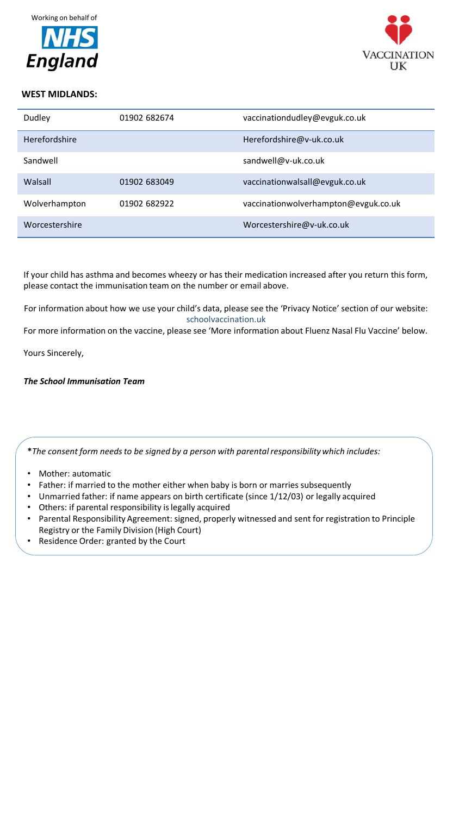



## **WEST MIDLANDS:**

| Dudley               | 01902 682674 | vaccinationdudley@evguk.co.uk        |
|----------------------|--------------|--------------------------------------|
| <b>Herefordshire</b> |              | Herefordshire@v-uk.co.uk             |
| Sandwell             |              | sandwell@v-uk.co.uk                  |
| Walsall              | 01902 683049 | vaccinationwalsall@evguk.co.uk       |
| Wolverhampton        | 01902 682922 | vaccinationwolverhampton@evguk.co.uk |
| Worcestershire       |              | Worcestershire@v-uk.co.uk            |

If your child has asthma and becomes wheezy or has their medication increased after you return this form, please contact the immunisation team on the number or email above.

For information about how we use your child's data, please see the 'Privacy Notice' section of our website: schoolvaccination.uk

For more information on the vaccine, please see 'More information about Fluenz Nasal Flu Vaccine' below.

Yours Sincerely,

*The School Immunisation Team*

**\****The consent form needs to be signed by a person with parental responsibility which includes:* 

- Mother: automatic
- Father: if married to the mother either when baby is born or marries subsequently
- Unmarried father: if name appears on birth certificate (since 1/12/03) or legally acquired
- Others: if parental responsibility is legally acquired
- Parental Responsibility Agreement: signed, properly witnessed and sent for registration to Principle Registry or the Family Division (High Court)
- Residence Order: granted by the Court